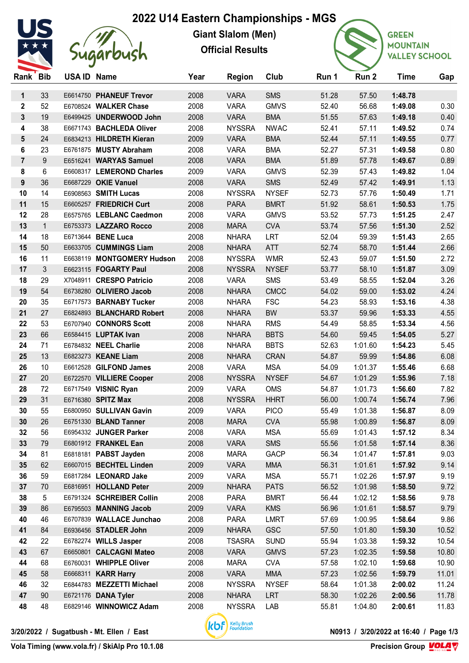## **2022 U14 Eastern Championships - MGS**



## Sugarbush

**Giant Slalom (Men) Official Results**



**GREEN MOUNTAIN VALLEY SCHOOL** 

| Rank Bib       |              | USA ID Name |                            | Year | <b>Region</b> | Club         | Run 1 | Run 2   | <b>Time</b> | Gap   |
|----------------|--------------|-------------|----------------------------|------|---------------|--------------|-------|---------|-------------|-------|
| $\mathbf{1}$   | 33           |             | E6614750 PHANEUF Trevor    | 2008 | <b>VARA</b>   | <b>SMS</b>   | 51.28 | 57.50   | 1:48.78     |       |
| 2              | 52           |             | E6708524 WALKER Chase      | 2008 | <b>VARA</b>   | <b>GMVS</b>  | 52.40 | 56.68   | 1:49.08     | 0.30  |
| 3              | 19           |             | E6499425 UNDERWOOD John    | 2008 | <b>VARA</b>   | <b>BMA</b>   | 51.55 | 57.63   | 1:49.18     | 0.40  |
| 4              | 38           |             | E6671743 BACHLEDA Oliver   | 2008 | <b>NYSSRA</b> | <b>NWAC</b>  | 52.41 | 57.11   | 1:49.52     | 0.74  |
| 5              | 24           |             | E6834213 HILDRETH Kieran   | 2009 | <b>VARA</b>   | <b>BMA</b>   | 52.44 | 57.11   | 1:49.55     | 0.77  |
| 6              | 23           |             | E6761875 MUSTY Abraham     | 2008 | <b>VARA</b>   | <b>BMA</b>   | 52.27 | 57.31   | 1:49.58     | 0.80  |
| $\overline{7}$ | 9            |             | E6516241 WARYAS Samuel     | 2008 | <b>VARA</b>   | <b>BMA</b>   | 51.89 | 57.78   | 1:49.67     | 0.89  |
| 8              | 6            |             | E6608317 LEMEROND Charles  | 2009 | <b>VARA</b>   | <b>GMVS</b>  | 52.39 | 57.43   | 1:49.82     | 1.04  |
| 9              | 36           |             | E6687229 OKIE Vanuel       | 2008 | <b>VARA</b>   | <b>SMS</b>   | 52.49 | 57.42   | 1:49.91     | 1.13  |
| 10             | 14           |             | E6908563 SMITH Lucas       | 2008 | <b>NYSSRA</b> | <b>NYSEF</b> | 52.73 | 57.76   | 1:50.49     | 1.71  |
| 11             | 15           |             | E6605257 FRIEDRICH Curt    | 2008 | <b>PARA</b>   | <b>BMRT</b>  | 51.92 | 58.61   | 1:50.53     | 1.75  |
| 12             | 28           |             | E6575765 LEBLANC Caedmon   | 2008 | <b>VARA</b>   | <b>GMVS</b>  | 53.52 | 57.73   | 1:51.25     | 2.47  |
| 13             | $\mathbf{1}$ |             | E6753373 LAZZARO Rocco     | 2008 | <b>MARA</b>   | <b>CVA</b>   | 53.74 | 57.56   | 1:51.30     | 2.52  |
| 14             | 18           |             | E6713644 BENE Luca         | 2008 | <b>NHARA</b>  | LRT          | 52.04 | 59.39   | 1:51.43     | 2.65  |
| 15             | 50           |             | E6633705 CUMMINGS Liam     | 2008 | <b>NHARA</b>  | <b>ATT</b>   | 52.74 | 58.70   | 1:51.44     | 2.66  |
| 16             | 11           |             | E6638119 MONTGOMERY Hudson | 2008 | <b>NYSSRA</b> | <b>WMR</b>   | 52.43 | 59.07   | 1:51.50     | 2.72  |
| 17             | 3            |             | E6623115 FOGARTY Paul      | 2008 | <b>NYSSRA</b> | <b>NYSEF</b> | 53.77 | 58.10   | 1:51.87     | 3.09  |
| 18             | 29           |             | X7048911 CRESPO Patricio   | 2008 | <b>VARA</b>   | <b>SMS</b>   | 53.49 | 58.55   | 1:52.04     | 3.26  |
| 19             | 54           |             | E6738280 OLIVIERO Jacob    | 2008 | <b>NHARA</b>  | <b>CMCC</b>  | 54.02 | 59.00   | 1:53.02     | 4.24  |
| 20             | 35           |             | E6717573 BARNABY Tucker    | 2008 | <b>NHARA</b>  | <b>FSC</b>   | 54.23 | 58.93   | 1:53.16     | 4.38  |
| 21             | 27           |             | E6824893 BLANCHARD Robert  | 2008 | <b>NHARA</b>  | <b>BW</b>    | 53.37 | 59.96   | 1:53.33     | 4.55  |
| 22             | 53           |             | E6707940 CONNORS Scott     | 2008 | <b>NHARA</b>  | <b>RMS</b>   | 54.49 | 58.85   | 1:53.34     | 4.56  |
| 23             | 66           |             | E6584415 LUPTAK Ivan       | 2008 | <b>NHARA</b>  | <b>BBTS</b>  | 54.60 | 59.45   | 1:54.05     | 5.27  |
| 24             | 71           |             | E6784832 NEEL Charlie      | 2008 | <b>NHARA</b>  | <b>BBTS</b>  | 52.63 | 1:01.60 | 1:54.23     | 5.45  |
| 25             | 13           |             | E6823273 KEANE Liam        | 2008 | <b>NHARA</b>  | <b>CRAN</b>  | 54.87 | 59.99   | 1:54.86     | 6.08  |
| 26             | 10           |             | E6612528 GILFOND James     | 2008 | <b>VARA</b>   | <b>MSA</b>   | 54.09 | 1:01.37 | 1:55.46     | 6.68  |
| 27             | 20           |             | E6722570 VILLIERE Cooper   | 2008 | <b>NYSSRA</b> | <b>NYSEF</b> | 54.67 | 1:01.29 | 1:55.96     | 7.18  |
| 28             | 72           |             | E6717549 VISNIC Ryan       | 2009 | <b>VARA</b>   | <b>OMS</b>   | 54.87 | 1:01.73 | 1:56.60     | 7.82  |
| 29             | 31           |             | E6716380 SPITZ Max         | 2008 | <b>NYSSRA</b> | <b>HHRT</b>  | 56.00 | 1:00.74 | 1:56.74     | 7.96  |
| 30             | 55           |             | E6800950 SULLIVAN Gavin    | 2009 | <b>VARA</b>   | <b>PICO</b>  | 55.49 | 1:01.38 | 1:56.87     | 8.09  |
| 30             | 26           |             | E6751330 BLAND Tanner      | 2008 | <b>MARA</b>   | <b>CVA</b>   | 55.98 | 1:00.89 | 1:56.87     | 8.09  |
| 32             | 56           |             | E6954332 JUNGER Parker     | 2008 | <b>VARA</b>   | <b>MSA</b>   | 55.69 | 1:01.43 | 1:57.12     | 8.34  |
| 33             | 79           |             | E6801912 FRANKEL Ean       | 2008 | <b>VARA</b>   | <b>SMS</b>   | 55.56 | 1:01.58 | 1:57.14     | 8.36  |
| 34             | 81           |             | E6818181 PABST Jayden      | 2008 | <b>MARA</b>   | GACP         | 56.34 | 1:01.47 | 1:57.81     | 9.03  |
| 35             | 62           |             | E6607015 BECHTEL Linden    | 2009 | <b>VARA</b>   | <b>MMA</b>   | 56.31 | 1:01.61 | 1:57.92     | 9.14  |
| 36             | 59           |             | E6817284 LEONARD Jake      | 2009 | <b>VARA</b>   | <b>MSA</b>   | 55.71 | 1:02.26 | 1:57.97     | 9.19  |
| 37             | 70           |             | E6816951 HOLLAND Peter     | 2009 | <b>NHARA</b>  | <b>PATS</b>  | 56.52 | 1:01.98 | 1:58.50     | 9.72  |
| 38             | $\sqrt{5}$   |             | E6791324 SCHREIBER Collin  | 2008 | <b>PARA</b>   | <b>BMRT</b>  | 56.44 | 1:02.12 | 1:58.56     | 9.78  |
| 39             | 86           |             | E6795503 MANNING Jacob     | 2009 | <b>VARA</b>   | <b>KMS</b>   | 56.96 | 1:01.61 | 1:58.57     | 9.79  |
| 40             | 46           |             | E6707839 WALLACE Junchao   | 2008 | <b>PARA</b>   | <b>LMRT</b>  | 57.69 | 1:00.95 | 1:58.64     | 9.86  |
| 41             | 84           |             | E6936456 STADLER John      | 2009 | <b>NHARA</b>  | <b>GSC</b>   | 57.50 | 1:01.80 | 1:59.30     | 10.52 |
| 42             | 22           |             | E6782274 WILLS Jasper      | 2008 | <b>TSASRA</b> | <b>SUND</b>  | 55.94 | 1:03.38 | 1:59.32     | 10.54 |
| 43             | 67           |             | E6650801 CALCAGNI Mateo    | 2008 | <b>VARA</b>   | <b>GMVS</b>  | 57.23 | 1:02.35 | 1:59.58     | 10.80 |
| 44             | 68           |             | E6760031 WHIPPLE Oliver    | 2008 | <b>MARA</b>   | <b>CVA</b>   | 57.58 | 1:02.10 | 1:59.68     | 10.90 |
| 45             | 58           |             | E6668311 KARR Harry        | 2008 | <b>VARA</b>   | <b>MMA</b>   | 57.23 | 1:02.56 | 1:59.79     | 11.01 |
| 46             | 32           |             | E6844783 MEZZETTI Michael  | 2008 | <b>NYSSRA</b> | <b>NYSEF</b> | 58.64 | 1:01.38 | 2:00.02     | 11.24 |
| 47             | 90           |             | E6721176 DANA Tyler        | 2008 | <b>NHARA</b>  | <b>LRT</b>   | 58.30 | 1:02.26 | 2:00.56     | 11.78 |
| 48             | 48           |             | E6829146 WINNOWICZ Adam    | 2008 | <b>NYSSRA</b> | LAB          | 55.81 | 1:04.80 | 2:00.61     | 11.83 |



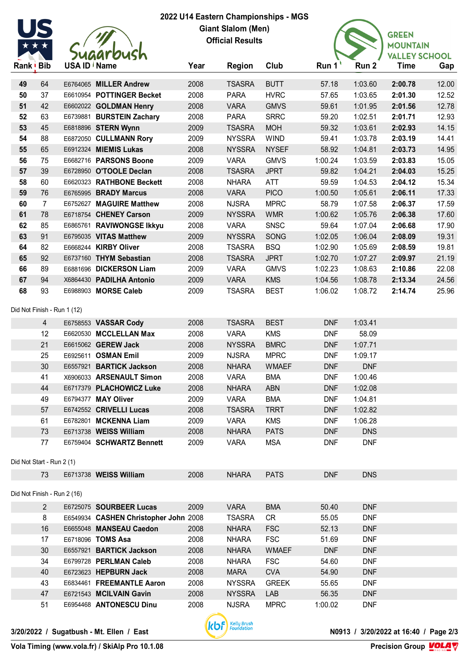

## **2022 U14 Eastern Championships - MGS Giant Slalom (Men) Official Results**



| Rank Bib |                           | USA ID / Name               |                                       | Year         | <b>Region</b>                  | Club                | Run $11$       | Run 2                    | <b>Time</b> | Gap   |
|----------|---------------------------|-----------------------------|---------------------------------------|--------------|--------------------------------|---------------------|----------------|--------------------------|-------------|-------|
| 49       | 64                        |                             | E6764065 MILLER Andrew                | 2008         | <b>TSASRA</b>                  | <b>BUTT</b>         | 57.18          | 1:03.60                  | 2:00.78     | 12.00 |
| 50       | 37                        |                             | E6610954 POTTINGER Becket             | 2008         | <b>PARA</b>                    | <b>HVRC</b>         | 57.65          | 1:03.65                  | 2:01.30     | 12.52 |
| 51       | 42                        |                             | E6602022 GOLDMAN Henry                | 2008         | <b>VARA</b>                    | <b>GMVS</b>         | 59.61          | 1:01.95                  | 2:01.56     | 12.78 |
| 52       | 63                        |                             | E6739881 BURSTEIN Zachary             | 2008         | <b>PARA</b>                    | <b>SRRC</b>         | 59.20          | 1:02.51                  | 2:01.71     | 12.93 |
| 53       | 45                        |                             | E6818896 STERN Wynn                   | 2009         | <b>TSASRA</b>                  | <b>MOH</b>          | 59.32          | 1:03.61                  | 2:02.93     | 14.15 |
| 54       | 88                        |                             | E6872050 CULLMANN Rory                | 2009         | <b>NYSSRA</b>                  | <b>WIND</b>         | 59.41          | 1:03.78                  | 2:03.19     | 14.41 |
| 55       | 65                        |                             | E6912324 MIEMIS Lukas                 | 2008         | <b>NYSSRA</b>                  | <b>NYSEF</b>        | 58.92          | 1:04.81                  | 2:03.73     | 14.95 |
| 56       | 75                        |                             | E6682716 PARSONS Boone                | 2009         | <b>VARA</b>                    | <b>GMVS</b>         | 1:00.24        | 1:03.59                  | 2:03.83     | 15.05 |
| 57       | 39                        |                             | E6728950 O'TOOLE Declan               | 2008         | <b>TSASRA</b>                  | <b>JPRT</b>         | 59.82          | 1:04.21                  | 2:04.03     | 15.25 |
| 58       | 60                        |                             | E6620323 RATHBONE Beckett             | 2008         | <b>NHARA</b>                   | ATT                 | 59.59          | 1:04.53                  | 2:04.12     | 15.34 |
| 59       | 76                        |                             | E6765995 BRADY Marcus                 | 2008         | <b>VARA</b>                    | <b>PICO</b>         | 1:00.50        | 1:05.61                  | 2:06.11     | 17.33 |
| 60       | $\overline{7}$            |                             | E6752627 MAGUIRE Matthew              | 2008         | <b>NJSRA</b>                   | <b>MPRC</b>         | 58.79          | 1:07.58                  | 2:06.37     | 17.59 |
| 61       | 78                        |                             | E6718754 CHENEY Carson                | 2009         | <b>NYSSRA</b>                  | <b>WMR</b>          | 1:00.62        | 1:05.76                  | 2:06.38     | 17.60 |
| 62       | 85                        |                             | E6865761 RAVIWONGSE Ikkyu             | 2008         | <b>VARA</b>                    | <b>SNSC</b>         | 59.64          | 1:07.04                  | 2:06.68     | 17.90 |
| 63       | 91                        |                             | E6795035 VITAS Matthew                | 2009         | <b>NYSSRA</b>                  | SONG                | 1:02.05        | 1:06.04                  | 2:08.09     | 19.31 |
| 64       | 82                        |                             | E6668244 KIRBY Oliver                 | 2008         | <b>TSASRA</b>                  | <b>BSQ</b>          | 1:02.90        | 1:05.69                  | 2:08.59     | 19.81 |
| 65       | 92                        |                             | E6737160 THYM Sebastian               | 2008         | <b>TSASRA</b>                  | <b>JPRT</b>         | 1:02.70        | 1:07.27                  | 2:09.97     | 21.19 |
| 66       | 89                        |                             | E6881696 DICKERSON Liam               | 2009         | <b>VARA</b>                    | <b>GMVS</b>         | 1:02.23        | 1:08.63                  | 2:10.86     | 22.08 |
| 67       | 94                        |                             | X6864430 PADILHA Antonio              | 2009         | <b>VARA</b>                    | <b>KMS</b>          | 1:04.56        | 1:08.78                  | 2:13.34     | 24.56 |
| 68       | 93                        |                             | E6988903 MORSE Caleb                  | 2009         | <b>TSASRA</b>                  | <b>BEST</b>         | 1:06.02        | 1:08.72                  | 2:14.74     | 25.96 |
|          |                           | Did Not Finish - Run 1 (12) |                                       |              |                                |                     |                |                          |             |       |
|          | $\overline{4}$            |                             | E6758553 VASSAR Cody                  | 2008         | <b>TSASRA</b>                  | <b>BEST</b>         | <b>DNF</b>     | 1:03.41                  |             |       |
|          | 12                        |                             | E6620530 MCCLELLAN Max                | 2008         | <b>VARA</b>                    | <b>KMS</b>          | <b>DNF</b>     | 58.09                    |             |       |
|          | 21                        |                             | E6615062 GEREW Jack                   | 2008         | <b>NYSSRA</b>                  | <b>BMRC</b>         | <b>DNF</b>     | 1:07.71                  |             |       |
|          | 25                        |                             | E6925611 OSMAN Emil                   | 2009         | <b>NJSRA</b>                   | <b>MPRC</b>         | <b>DNF</b>     | 1:09.17                  |             |       |
|          | 30                        |                             | E6557921 BARTICK Jackson              | 2008         | <b>NHARA</b>                   | <b>WMAEF</b>        | <b>DNF</b>     | <b>DNF</b>               |             |       |
|          | 41                        |                             | X6906033 ARSENAULT Simon              | 2008         | <b>VARA</b>                    | <b>BMA</b>          | <b>DNF</b>     | 1:00.46                  |             |       |
|          | 44                        |                             | E6717379 PLACHOWICZ Luke              | 2008         | <b>NHARA</b>                   | <b>ABN</b>          | <b>DNF</b>     | 1:02.08                  |             |       |
|          | 49                        |                             | E6794377 MAY Oliver                   | 2009         | <b>VARA</b>                    | <b>BMA</b>          | <b>DNF</b>     | 1:04.81                  |             |       |
|          | 57                        |                             | E6742552 CRIVELLI Lucas               | 2008         | <b>TSASRA</b>                  | <b>TRRT</b>         | <b>DNF</b>     | 1:02.82                  |             |       |
|          | 61                        |                             | E6782801 MCKENNA Liam                 | 2009         | VARA                           | <b>KMS</b>          | <b>DNF</b>     | 1:06.28                  |             |       |
|          | 73                        |                             | E6713738 WEISS William                | 2008         | <b>NHARA</b>                   | <b>PATS</b>         | <b>DNF</b>     | <b>DNS</b>               |             |       |
|          | 77                        |                             | E6759404 SCHWARTZ Bennett             | 2009         | <b>VARA</b>                    | <b>MSA</b>          | <b>DNF</b>     | <b>DNF</b>               |             |       |
|          | Did Not Start - Run 2 (1) |                             |                                       |              |                                |                     |                |                          |             |       |
|          | 73                        |                             | E6713738 WEISS William                | 2008         | <b>NHARA</b>                   | <b>PATS</b>         | <b>DNF</b>     | <b>DNS</b>               |             |       |
|          |                           | Did Not Finish - Run 2 (16) |                                       |              |                                |                     |                |                          |             |       |
|          | $\overline{2}$            |                             | E6725075 SOURBEER Lucas               | 2009         | <b>VARA</b>                    | <b>BMA</b>          | 50.40          | <b>DNF</b>               |             |       |
|          | 8                         |                             | E6549934 CASHEN Christopher John 2008 |              | <b>TSASRA</b>                  | CR                  | 55.05          | <b>DNF</b>               |             |       |
|          | 16                        |                             | E6655048 MANSEAU Caedon               | 2008         | <b>NHARA</b>                   | <b>FSC</b>          | 52.13          | <b>DNF</b>               |             |       |
|          | 17                        |                             | E6718096 TOMS Asa                     | 2008         | <b>NHARA</b>                   | <b>FSC</b>          | 51.69          | <b>DNF</b>               |             |       |
|          | 30                        |                             | E6557921 BARTICK Jackson              | 2008         | <b>NHARA</b>                   | <b>WMAEF</b>        | <b>DNF</b>     | <b>DNF</b>               |             |       |
|          |                           |                             | E6799728 PERLMAN Caleb                | 2008         | <b>NHARA</b>                   | <b>FSC</b>          | 54.60          | <b>DNF</b>               |             |       |
|          | 34                        |                             |                                       |              |                                |                     |                |                          |             |       |
|          | 40                        |                             | E6723623 HEPBURN Jack                 |              |                                |                     |                |                          |             |       |
|          | 43                        |                             | E6834461 FREEMANTLE Aaron             | 2008         | <b>MARA</b>                    | <b>CVA</b>          | 54.90          | <b>DNF</b><br><b>DNF</b> |             |       |
|          | 47                        |                             | E6721543 MCILVAIN Gavin               | 2008<br>2008 | <b>NYSSRA</b><br><b>NYSSRA</b> | <b>GREEK</b><br>LAB | 55.65<br>56.35 | <b>DNF</b>               |             |       |



**Precision Group VOLAV**